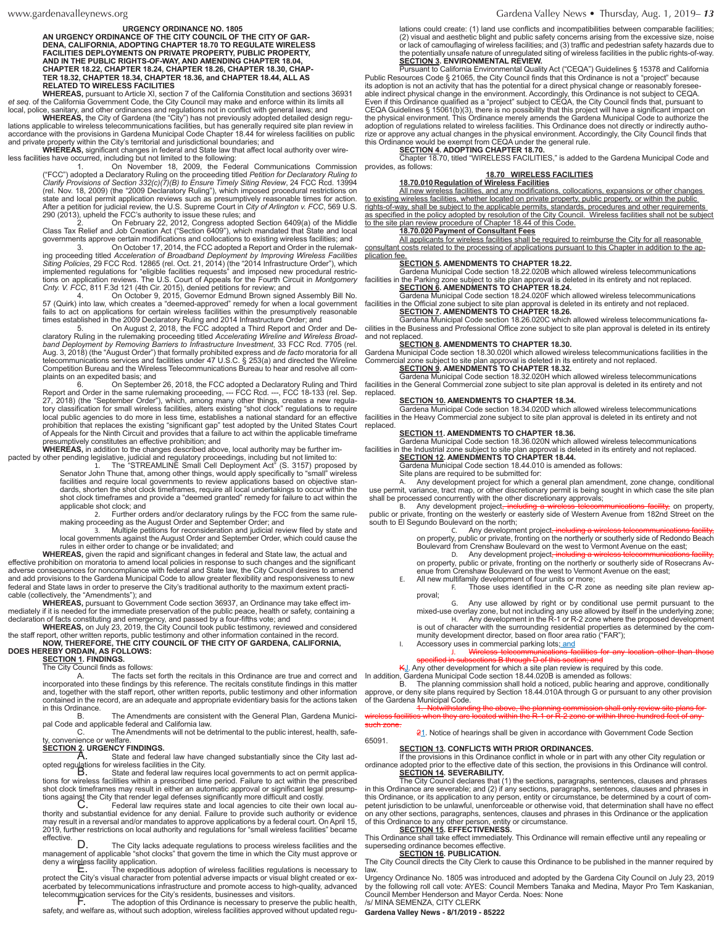**URGENCY ORDINANCE NO. 1805**

**AN URGENCY ORDINANCE OF THE CITY COUNCIL OF THE CITY OF GAR-DENA, CALIFORNIA, ADOPTING CHAPTER 18.70 TO REGULATE WIRELESS FACILITIES DEPLOYMENTS ON PRIVATE PROPERTY, PUBLIC PROPERTY, AND IN THE PUBLIC RIGHTS-OF-WAY, AND AMENDING CHAPTER 18.04, CHAPTER 18.22, CHAPTER 18.24, CHAPTER 18.26, CHAPTER 18.30, CHAP-TER 18.32, CHAPTER 18.34, CHAPTER 18.36, and CHAPTER 18.44, ALL AS RELATED TO WIRELESS FACILITIES**

**WHEREAS,** pursuant to Article XI, section 7 of the California Constitution and sections 36931 *et seq.* of the California Government Code, the City Council may make and enforce within its limits all local, police, sanitary, and other ordinances and regulations not in conflict with general laws; and

**WHEREAS,** the City of Gardena (the "City") has not previously adopted detailed design regulations applicable to wireless telecommunications facilities, but has generally required site plan review in accordance with the provisions in Gardena Municipal Code Chapter 18.44 for wireless facilities on public and private property within the City's territorial and jurisdictional boundaries; and

**WHEREAS,** significant changes in federal and State law that affect local authority over wireless facilities have occurred, including but not limited to the following:

1. On November 18, 2009, the Federal Communications Commission ("FCC") adopted a Declaratory Ruling on the proceeding titled *Petition for Declaratory Ruling to Clarify Provisions of Section 332(c)(7)(B) to Ensure Timely Siting Review*, 24 FCC Rcd. 13994 (rel. Nov. 18, 2009) (the "2009 Declaratory Ruling"), which imposed procedural restrictions on state and local permit application reviews such as presumptively reasonable times for action. After a petition for judicial review, the U.S. Supreme Court in *City of Arlington v. FCC*, 569 U.S. 290 (2013), upheld the FCC's authority to issue these rules; and

2. On February 22, 2012, Congress adopted Section 6409(a) of the Middle Class Tax Relief and Job Creation Act ("Section 6409"), which mandated that State and local governments approve certain modifications and collocations to existing wireless facilities; and

3. On October 17, 2014, the FCC adopted a Report and Order in the rulemaking proceeding titled *Acceleration of Broadband Deployment by Improving Wireless Facilities Siting Policies*, 29 FCC Rcd. 12865 (rel. Oct. 21, 2014) (the "2014 Infrastructure Order"), which implemented regulations for "eligible facilities requests" and imposed new procedural restrictions on application reviews. The U.S. Court of Appeals for the Fourth Circuit in *Montgomery Cnty. V. FCC*, 811 F.3d 121 (4th Cir. 2015), denied petitions for review; and

4. On October 9, 2015, Governor Edmund Brown signed Assembly Bill No. 57 (Quirk) into law, which creates a "deemed-approved" remedy for when a local government fails to act on applications for certain wireless facilities within the presumptively reasonable times established in the 2009 Declaratory Ruling and 2014 Infrastructure Order; and

5. On August 2, 2018, the FCC adopted a Third Report and Order and Declaratory Ruling in the rulemaking proceeding titled *Accelerating Wireline and Wireless Broadband Deployment by Removing Barriers to Infrastructure Investment*, 33 FCC Rcd. 7705 (rel. Aug. 3, 2018) (the "August Order") that formally prohibited express and *de facto* moratoria for all telecommunications services and facilities under 47 U.S.C. § 253(a) and directed the Wireline Competition Bureau and the Wireless Telecommunications Bureau to hear and resolve all complaints on an expedited basis; and

6. On September 26, 2018, the FCC adopted a Declaratory Ruling and Third Report and Order in the same rulemaking proceeding, --- FCC Rcd. ---, FCC 18-133 (rel. Sep. 27, 2018) (the "September Order"), which, among many other things, creates a new regulatory classification for small wireless facilities, alters existing "shot clock" regulations to require local public agencies to do more in less time, establishes a national standard for an effective prohibition that replaces the existing "significant gap" test adopted by the United States Court of Appeals for the Ninth Circuit and provides that a failure to act within the applicable timeframe presumptively constitutes an effective prohibition; and

**WHEREAS,** in addition to the changes described above, local authority may be further impacted by other pending legislative, judicial and regulatory proceedings, including but not limited to:

1. The "STREAMLINE Small Cell Deployment Act" (S. 3157) proposed by Senator John Thune that, among other things, would apply specifically to "small" wireless facilities and require local governments to review applications based on objective standards, shorten the shot clock timeframes, require all local undertakings to occur within the shot clock timeframes and provide a "deemed granted" remedy for failure to act within the applicable shot clock; and

2. Further orders and/or declaratory rulings by the FCC from the same rulemaking proceeding as the August Order and September Order; and

3. Multiple petitions for reconsideration and judicial review filed by state and local governments against the August Order and September Order, which could cause the rules in either order to change or be invalidated; and

**WHEREAS,** given the rapid and significant changes in federal and State law, the actual and effective prohibition on moratoria to amend local policies in response to such changes and the significant adverse consequences for noncompliance with federal and State law, the City Council desires to amend and add provisions to the Gardena Municipal Code to allow greater flexibility and responsiveness to new federal and State laws in order to preserve the City's traditional authority to the maximum extent practicable (collectively, the "Amendments"); and

**WHEREAS,** pursuant to Government Code section 36937, an Ordinance may take effect immediately if it is needed for the immediate preservation of the public peace, health or safety, containing a declaration of facts constituting and emergency, and passed by a four-fifths vote; and

**WHEREAS,** on July 23, 2019, the City Council took public testimony, reviewed and considered the staff report, other written reports, public testimony and other information contained in the record.

### **NOW, THEREFORE, THE CITY COUNCIL OF THE CITY OF GARDENA, CALIFORNIA, DOES HEREBY ORDAIN, AS FOLLOWS:**

**SECTION 1. FINDINGS.** The City Council finds as follows:

A. The facts set forth the recitals in this Ordinance are true and correct and incorporated into these findings by this reference. The recitals constitute findings in this matter and, together with the staff report, other written reports, public testimony and other information contained in the record, are an adequate and appropriate evidentiary basis for the actions taken in this Ordinance.

The Amendments are consistent with the General Plan, Gardena Municipal Code and applicable federal and California law.

C. The Amendments will not be detrimental to the public interest, health, safety, convenience or welfare. **SECTION 2. URGENCY FINDINGS.**

A. State and federal law have changed substantially since the City last ad-<br>opted regulations for wireless facilities in the City.<br>State and federal law requires local governments to act on permit applica-

opted regulations for wireless facilities in the City.<br>B. State and federal law requires local governments to act on permit applica-<br>tions for wireless facilities within a prescribed time period. Fail shot clock timeframes may result in either an automatic approval or significant legal presump-

tions against the City that render legal defenses significantly more difficult and costly.<br>C. Federal law requires state and local agencies to cite their own local authority and substantial evidence for any denial. Failure to provide such authority or evidence may result in a reversal and/or mandates to approve applications by a federal court. On April 15, 2019, further restrictions on local authority and regulations for "small wireless facilities" became<br>effective.

D. The City lacks adequate regulations to process wireless facilities and the management of applicable "shot clocks" that govern the time in which the City must approve or

deny a wireless facility application.<br>  $\mathsf E.$  The expeditious adoption of wireless facilities regulations is necessary to protect the City's visual character from potential adverse impacts or visual blight created or exacerbated by telecommunications infrastructure and promote access to high-quality, advanced

telecommunication services for the City's residents, businesses and visitors.<br>The adoption of this Ordinance is necessary to preserve the public health,<br>safety, and welfare as, without such adoption, wireless facilities ap

## www.gardenavalleynews.org **Gardena Valley News • Thursday, Aug. 1, 2019**–13

lations could create: (1) land use conflicts and incompatibilities between comparable facilities; (2) visual and aesthetic blight and public safety concerns arising from the excessive size, noise or lack of camouflaging of wireless facilities; and (3) traffic and pedestrian safety hazards due to the potentially unsafe nature of unregulated siting of wireless facilities in the public rights-of-way. **SECTION 3. ENVIRONMENTAL REVIEW.**

Pursuant to California Environmental Quality Act ("CEQA") Guidelines § 15378 and California Public Resources Code § 21065, the City Council finds that this Ordinance is not a "project" because its adoption is not an activity that has the potential for a direct physical change or reasonably foreseeable indirect physical change in the environment. Accordingly, this Ordinance is not subject to CEQA. Even if this Ordinance qualified as a "project" subject to CEQA, the City Council finds that, pursuant to CEQA Guidelines § 15061(b)(3), there is no possibility that this project will have a significant impact on the physical environment. This Ordinance merely amends the Gardena Municipal Code to authorize the adoption of regulations related to wireless facilities. This Ordinance does not directly or indirectly authorize or approve any actual changes in the physical environment. Accordingly, the City Council finds that this Ordinance would be exempt from CEQA under the general rule.

## **SECTION 4. ADOPTING CHAPTER 18.70.**

Chapter 18.70, titled "WIRELESS FACILITIES," is added to the Gardena Municipal Code and provides, as follows:

**18.70 WIRELESS FACILITIES**

**18.70.010Regulation of Wireless Facilities** All new wireless facilities, and any modifications, collocations, expansions or other changes to existing wireless facilities, whether located on private property, public property, or within the public rights-of-way, shall be subject to the applicable permits, standards, procedures and other requirements as specified in the policy adopted by resolution of the City Council. Wireless facilities shall not be subject to the site plan review procedure of Chapter 18.44 of this Code.

**18.70.020Payment of Consultant Fees**

All applicants for wireless facilities shall be required to reimburse the City for all reasonable consultant costs related to the processing of applications pursuant to this Chapter in addition to the application fee

**SECTION 5. AMENDMENTS TO CHAPTER 18.22.**

Gardena Municipal Code section 18.22.020B which allowed wireless telecommunications facilities in the Parking zone subject to site plan approval is deleted in its entirety and not replaced. **SECTION 6. AMENDMENTS TO CHAPTER 18.24.**

Gardena Municipal Code section 18.24.020F which allowed wireless telecommunications facilities in the Official zone subject to site plan approval is deleted in its entirety and not replaced. **SECTION 7. AMENDMENTS TO CHAPTER 18.26.**

Gardena Municipal Code section 18.26.020C which allowed wireless telecommunications facilities in the Business and Professional Office zone subject to site plan approval is deleted in its entirety and not replaced.

**SECTION 8. AMENDMENTS TO CHAPTER 18.30.**

Gardena Municipal Code section 18.30.020I which allowed wireless telecommunications facilities in the Commercial zone subject to site plan approval is deleted in its entirety and not replaced. **SECTION 9. AMENDMENTS TO CHAPTER 18.32.**

Gardena Municipal Code section 18.32.020H which allowed wireless telecommunications facilities in the General Commercial zone subject to site plan approval is deleted in its entirety and not replaced.

## **SECTION 10. AMENDMENTS TO CHAPTER 18.34.**

Gardena Municipal Code section 18.34.020D which allowed wireless telecommunications facilities in the Heavy Commercial zone subject to site plan approval is deleted in its entirety and not replaced.

### **SECTION 11. AMENDMENTS TO CHAPTER 18.36.**

Gardena Municipal Code section 18.36.020N which allowed wireless telecommunications facilities in the Industrial zone subject to site plan approval is deleted in its entirety and not replaced.

**SECTION 12. AMENDMENTS TO CHAPTER 18.44.** Gardena Municipal Code section 18.44.010 is amended as follows:

Site plans are required to be submitted for:

Any development project for which a general plan amendment, zone change, conditional use permit, variance, tract map, or other discretionary permit is being sought in which case the site plan shall be processed concurrently with the other discretionary approvals;

B. Any development project<del>, including a wireless telecommunications facility,</del> on property, public or private, fronting on the westerly or easterly side of Western Avenue from 182nd Street on the south to El Segundo Boulevard on the north;

C. Any development project<del>, including a wireless telecommunications facility,</del> on property, public or private, fronting on the northerly or southerly side of Redondo Beach Boulevard from Crenshaw Boulevard on the west to Vermont Avenue on the east;

D. Any development project<del>, including a wireless telecommunications facility,</del> on property, public or private, fronting on the northerly or southerly side of Rosecrans Avenue from Crenshaw Boulevard on the west to Vermont Avenue on the east;

E. All new multifamily development of four units or more; F. Those uses identified in the C-R zone as needing site plan review approval;

G. Any use allowed by right or by conditional use permit pursuant to the mixed-use overlay zone, but not including any use allowed by itself in the underlying zone;

H. Any development in the R-1 or R-2 zone where the proposed development is out of character with the surrounding residential properties as determined by the com-

munity development director, based on floor area ratio ("FAR"); I. Accessory uses in commercial parking lots; and

J. Wireless telecommunications facilities for any location other than those specified in subsections B through D of this section; and

KJ. Any other development for which a site plan review is required by this code.

In addition, Gardena Municipal Code section 18.44.020B is amended as follows: B. The planning commission shall hold a noticed, public hearing and approve, conditionally

approve, or deny site plans required by Section 18.44.010A through G or pursuant to any other provision of the Gardena Municipal Code.

1. Notwithstanding the above, the planning commission shall only review site plans for wireless facilities when they are located within the R-1 or R-2 zone or within three hundred feet of any such zone.

21. Notice of hearings shall be given in accordance with Government Code Section 65091.

## **SECTION 13. CONFLICTS WITH PRIOR ORDINANCES.**

If the provisions in this Ordinance conflict in whole or in part with any other City regulation or ordinance adopted prior to the effective date of this section, the provisions in this Ordinance will control. **SECTION 14. SEVERABILITY.**

The City Council declares that (1) the sections, paragraphs, sentences, clauses and phrases in this Ordinance are severable; and (2) if any sections, paragraphs, sentences, clauses and phrases in this Ordinance, or its application to any person, entity or circumstance, be determined by a court of competent jurisdiction to be unlawful, unenforceable or otherwise void, that determination shall have no effect on any other sections, paragraphs, sentences, clauses and phrases in this Ordinance or the application of this Ordinance to any other person, entity or circumstance.

**SECTION 15. EFFECTIVENESS.** This Ordinance shall take effect immediately. This Ordinance will remain effective until any repealing or superseding ordinance becomes effective.

## **SECTION 16. PUBLICATION.**

The City Council directs the City Clerk to cause this Ordinance to be published in the manner required by law.

Urgency Ordinance No. 1805 was introduced and adopted by the Gardena City Council on July 23, 2019 by the following roll call vote: AYES: Council Members Tanaka and Medina, Mayor Pro Tem Kaskanian, Council Member Henderson and Mayor Cerda. Noes: None /s/ MINA SEMENZA, CITY CLERK

### **Gardena Valley News - 8/1/2019 - 85222**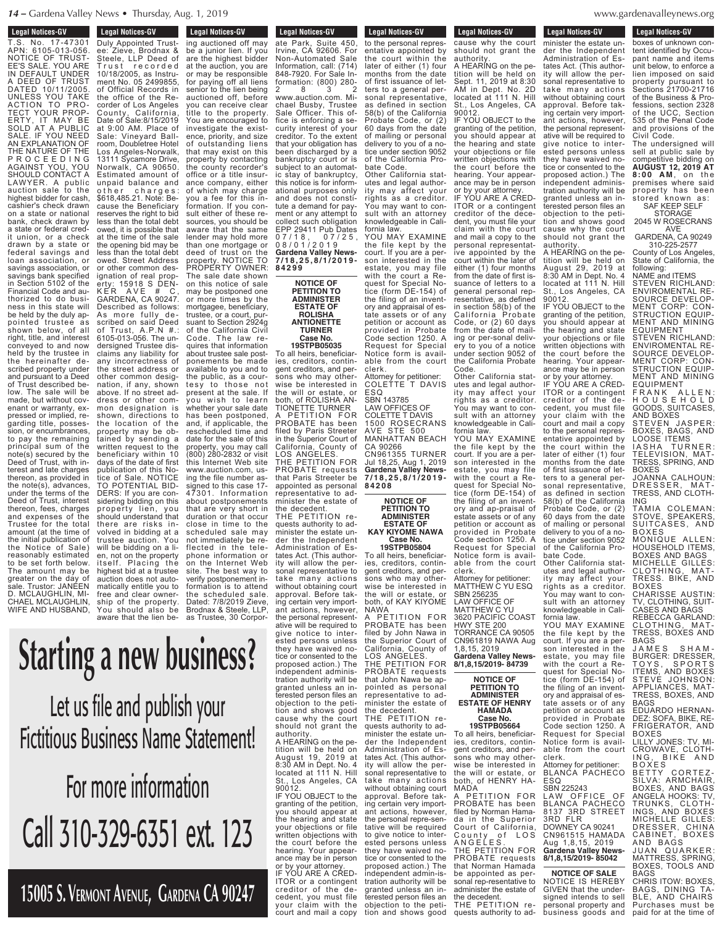**Legal Notices-GV** T.S. No. 17-47301 APN: 6105-013-056. NOTICE OF TRUST-EE'S SALE. YOU ARE IN DEFAULT UNDER A DEED OF TRUST DATED 10/11/2005. UNLESS YOU TAKE ACTION TO PRO-TECT YOUR PROP-ERTY, IT MAY BE SOLD AT A PUBLIC SALE. IF YOU NEED AN EXPLANATION OF THE NATURE OF THE P R O C E E D I N G AGAINST YOU, YOU SHOULD CONTACT A LAWYER. A public auction sale to the highest bidder for cash, cashier's check drawn on a state or national bank, check drawn by a state or federal credit union, or a check drawn by a state or federal savings and loan association, or savings association, or savings bank specified Section 5102 of the Financial Code and authorized to do business in this state will be held by the duly appointed trustee as shown below, of all right, title, and interest conveyed to and now held by the trustee in the hereinafter described property under and pursuant to a Deed of Trust described below. The sale will be made, but without covenant or warranty, expressed or implied, regarding title, possession, or encumbrances, to pay the remaining principal sum of the note(s) secured by the Deed of Trust, with interest and late charges thereon, as provided in the note(s), advances, under the terms of the Deed of Trust, interest thereon, fees, charges and expenses of the Trustee for the total amount (at the time of the initial publication of the Notice of Sale) reasonably estimated to be set forth below. The amount may be greater on the day of sale. Trustor: JANEEN D. MCLAUGHLIN, MI-CHAEL MCLAUGHLIN, WIFE AND HUSBAND,

Steele, LLP Deed of  $\overline{r}$  r  $\overline{r}$   $\overline{r}$   $\overline{r}$   $\overline{r}$   $\overline{r}$   $\overline{r}$   $\overline{r}$   $\overline{r}$   $\overline{r}$   $\overline{r}$   $\overline{r}$   $\overline{r}$   $\overline{r}$   $\overline{r}$   $\overline{r}$   $\overline{r}$   $\overline{r}$   $\overline{r}$   $\overline{r}$   $\overline{r}$   $\overline{r}$   $\overline{r}$   $\overline{r}$   $\over$ 10 N 10 N 11 N 2 ment No. 1 o otali anno

corder of Los Angeles Date of Sale:8/15/2019  $\blacksquare$   $\blacksquare$   $\blacksquare$   $\blacksquare$   $\blacksquare$ Sale: Vincy LCL US

Los Angeles-Norwalk,  $L$  $r$ titiour D n Fillinous D

\$618,485.21. Note: Be-

K E R A V E F A V E F A V E F A

**Legal Notices-GV** Legal Nutries-GV ing auctioned off may be a junior lien. If you are the highest bidder at the auction, you are or may be responsible for paying off all liens senior to the lien being auctioned off, before you can receive clear title to the property. You are encouraged to investigate the existence, priority, and size of outstanding liens that may exist on this property by contacting the county recorder's office or a title insurance company, either of which may charge you a fee for this information. If you consult either of these resources, you should be aware that the same lender may hold more than one mortgage or deed of trust on the property. NOTICE TO PROPERTY OWNER: The sale date shown on this notice of sale may be postponed one or more times by the mortgagee, beneficiary, trustee, or a court, pursuant to Section 2924g of the California Civil Code. The law requires that information about trustee sale postponements be made available to you and to the public, as a courtesy to those not present at the sale. If you wish to learn whether your sale date has been postponed, and, if applicable, the rescheduled time and date for the sale of this property, you may call (800) 280-2832 or visit this Internet Web site www.auction.com, using the file number assigned to this case 17-<br>47301. Information **Information** about postponements that are very short in duration or that occur close in time to the scheduled sale may not immediately be reflected in the telephone information or on the Internet Web site. The best way to **Legal Notices-GV** Legal Nutries-uv Duly Appointed Trustee: Zieve, Brodnax & Steele, LLP Deed of Trust recorded 10/18/2005, as Instrument No. 05 2499855, of Official Records in the office of the Recorder of Los Angeles County, Cal ifornia, Date of Sale:8/15/2019 at 9:00 AM. Place of Sale: Vineyard Ballroom, Doubletree Hotel Los Angeles-Norwalk, 13111 Sycamore Drive, Norwalk, CA 90650. Estimated amount of unpaid balance and o ther charges: \$618,485.21. Note: Because the Beneficiary reserves the right to bid less than the total debt owed, it is possible that at the time of the sale the opening bid may be less than the total debt owed. Street Address or other common designation of real property: 15918 S DEN-KER AVE # C, GARDENA, CA 90247. Described as follows: As more fully described on said Deed of Trust, A.P.N #.: 6105-013-056. The undersigned Trustee disclaims any liability for any incorrectness of the street address or other common designation, if any, shown above. If no street address or other common designation is shown, directions to the location of the property may be obtained by sending a written request to the beneficiary within 10 days of the date of first publication of this Notice of Sale. NOTICE TO POTENTIAL BID-DERS: If you are considering bidding on this property lien, you should understand that<br>there are risks inthere are risks involved in bidding at a trustee auction. You will be bidding on a lien, not on the property itself. Placing the highest bid at a trustee auction does not automatically entitle you to free and clear ownership of the property. You should also be

**Legal Notices-GV** Legal Nutles-GV ate Park, Suite 450, Irvine, CA 92606. For Non-Automated Sale Information, call: (714) 848-7920. For Sale Information: (800) 280- 2 8 3 2 www.auction.com. Michael Busby, Trustee Sale Officer. This office is enforcing a security interest of your creditor. To the extent that your obligation has been discharged by a bankruptcy court or is subject to an automatic stay of bankruptcy, this notice is for informational purposes only and does not constitute a demand for payment or any attempt to collect such obligation EPP 29411 Pub Dates 0 7 / 1 8 , 0 7 / 2 5 , 0 8 / 0 1 / 2 0 1 9 **Gardena Valley News-7 / 1 8 , 2 5 , 8 / 1 / 2 0 1 9 - 8 4 2 9 9**

> **NOTICE OF PETITION TO ADMINISTER ESTATE OF ROLISHA ANTIONETTE TURNER Case No. 19STPB05035**

To all heirs, beneficiaries, creditors, contingent creditors, and persons who may otherwise be interested in the will or estate, or both, of ROLISHA AN-TIONETTE TURNER A PETITION FOR PROBATE has been filed by Paris Streeter in the Superior Court of California, County of LOS ANGELES. THE PETITION FOR PROBATE requests that Paris Streeter be appointed as personal

representative to administer the estate of the decedent. THE PETITION requests authority to administer the estate under the Independent Administration of Es-<br>tates Act. (This author- $(This author$ ity will allow the personal representative to take many actions without obtaining court approval. Before taking certain very important actions, however the personal representative will be required to give notice to interested persons unless they have waived notice or consented to the proposed action.) The independent adminis-tration authority will be granted unless an interested person files an objection to the petition and shows good cause why the court should not grant the authority.

St., Los Angeles, CA 90012.

IF YOU OBJECT to the granting of the petition, you should appear at the hearing and state your objections or file written objections with the court before the hearing. Your appearance may be in person or by your attorney. IF YOU ARE A CRED-ITOR or a contingent creditor of the decedent, you must file your claim with the court and mail a copy

**Legal Nutries-GV Legal Notices-GV** Legal Nutries-GV to the personal representative appointed by the court within the

tition will be held on 90012. later of either (1) four months from the date of first issuance of letters to a general personal representative. as defined in section 58(b) of the California Probate Code, or (2) 60 days from the date of mailing or personal delivery to you of a notice under section 9052 of the California Pro-

bate Code. Other California statutes and legal authority may affect your rights as a creditor. You may want to consult with an attorney knowledgeable in California law.

YOU MAY EXAMINE the file kept by the court. If you are a person interested in the estate, you may file with the court a Request for Special Notice (form DE-154) of the filing of an inventory and appraisal of estate assets or of any petition or account as provided in Probate Code section 1250. A Request for Special Notice form is available from the court clerk.

Attorney for petitioner: COLETTE T DAVIS ESQ SBN 143785 LAW OFFICES OF

COLETTE T DAVIS 1500 ROSECRANS AVE STE 500 MANHATTAN BEACH CA 90266 CN961355 TURNER

Jul 18,25, Aug 1, 2019 **Gardena Valley News-7 / 1 8 , 2 5 , 8 / 1 / 2 0 1 9 - 8 4 2 0 8**

**NOTICE OF PETITION TO ADMINISTER ESTATE OF KAY KIYOME NAWA**

**Case No. 19STPB05804** To all heirs, beneficiar-

ies, creditors, contingent creditors, and persons who may otherwise be interested in the will or estate, or both, of KAY KIYOME NAWA PETITION FOR PROBATE has been filed by John Nawa in the Superior Court of California, County of LOS ANGELES. THE PETITION FOR PROBATE requests that John Nawa be appointed as personal

representative to administer the estate of the decedent. THE PETITION re quests authority to administer the estate under the Independent Administration of Estates Act. (This authority will allow the personal representative to take many actions without obtaining court approval. Before taking certain very import-ant actions, however, the personal repre-sentative will be required to give notice to interested persons unless they have waived notice or consented to the proposed action.) The independent admin-istration authority will be granted unless an interested person files an<br>objection to the petition and shows good

cause why the court

**Legal Notices-GV** 

cause why the court should not grant the authority. A HEARING on the pe-

Sept. 11, 2019 at 8:30 AM in Dept. No. 2D located at 111 N. Hill St., Los Angeles, CA IF YOU OBJECT to the

granting of the petition, you should appear at the hearing and state your objections or file written objections with the court before the hearing. Your appearance may be in person

or by your attorney. IF YOU ARE A CRED-ITOR or a contingent creditor of the decedent, you must file your claim with the court and mail a copy to the personal representative appointed by the court within the later of either (1) four months from the date of first issuance of letters to a general personal representative, as defined in section 58(b) of the California Probate Code, or (2) 60 days from the date of mailing or per-sonal delivery to you of a notice under section 9052 of the California Probate Code.

Other California statutes and legal authority may affect your rights as a creditor. You may want to consult with an attorney knowledgeable in California law.

YOU MAY EXAMINE the file kept by the court. If you are a person interested in the estate, you may file with the court a Request for Special Notice (form DE-154) of the filing of an inventory and ap-praisal of estate assets or of any petition or account as provided in Probate Code section 1250. A Request for Special Notice form is available from the court clerk.

Attorney for petitioner: MATTHEW C YU ESQ SBN 256235 LAW OFFICE OF MATTHEW C YU 3620 PACIFIC COAST HWY STE 200 TORRANCE CA 90505 CN961819 NAWA Aug

1,8,15, 2019 **Gardena Valley News-8/1,8,15/2019- 84739 NOTICE OF PETITION TO**

#### **ADMINISTER ESTATE OF HENRY HAMADA Case No.**

**19STPB05664** To all heirs, beneficiaries, creditors, contingent creditors, and persons who may otherwise be interested in the will or estate, or both, of HENRY HA-MADA A PETITION FOR

**Gardena Valley News-**PROBATE has been filed by Norman Hamada in the Superior Court of California, County of LOS A N G E L E S . THE PETITION FOR

**8/1,8,15/2019- 85042** PROBATE requests that Norman Hamada be appointed as personal rep-resentative to administer the estate of

the decedent. THE PETITION requests authority to ad-

www.gardenavalleynews.org **Legal Notices-GV** 

minister the estate under the Independent Administration of Estates Act. (This authority will allow the personal representative to take many actions without obtaining court approval. Before taking certain very important actions, however, the personal representative will be required to give notice to interested persons unless they have waived notice or consented to the proposed action.) The independent administration authority will be granted unless an interested person files an objection to the petition and shows good cause why the court should not grant the

authority.

90012.

bate Code.

fornia law.

clerk.

**ESQ** SBN 225243

3RD FLR DOWNEY CA 90241 CN961515 HAMADA Aug 1,8,15, 2019

Other California statutes and legal authority may affect your rights as a creditor. You may want to consult with an attorney knowledgeable in Cali-

YOU MAY EXAMINE the file kept by the court. If you are a person interested in the estate, you may file with the court a Request for Special No-tice (form DE-154) of the filing of an inventory and appraisal of estate assets or of any petition or account as provided in Probate Code section 1250. A Request for Special Notice form is available from the court

IF YOU OBJECT to the granting of the petition, you should appear at the hearing and state your objections or file written objections with the court before the hearing. Your appearance may be in person or by your attorney. IF YOU ARE A CRED-ITOR or a contingent creditor of the decedent, you must file your claim with the court and mail a copy to the personal representative appointed by the court within the later of either (1) four months from the date of first issuance of letters to a general personal representative, as defined in section 58(b) of the California Probate Code, or (2) 60 days from the date of mailing or personal delivery to you of a notice under section 9052 of the California Pro-

**Legal Notices-GV business** Legal Numbers-Given Legal Nutles-GV

denavalleynews.org

boxes of unknown content identified by Occupant name and items unit below, to enforce a lien imposed on said property pursuant to Sections 21700-21716 of the Business & Professions, section 2328 of the UCC, Section 535 of the Penal Code and provisions of the Civil Code. The undersigned will

sell at public sale by competitive bidding on **AUGUST 12, 2019 AT 8 : 0 0 A M** , o n t h e premises where said property has been stored known as:

SAF KEEP SELF STORAGE 2045 W ROSECRANS

AVE GARDENA, CA 90249 310-225-2577 County of Los Angeles,

State of California, the following: NAME and ITEMS STEVEN RICHLAND: A HEARING on the petition will be held on August 29, 2019 at 8:30 AM in Dept. No. 4 located at 111 N. Hill St., Los Angeles, CA

ENVIROMENTAL RE-SOURCE DEVELOP-MENT CORP: CON-STRUCTION EQUIP-MENT AND MINING EQUIPMENT

STEVEN RICHLAND ENVIROMENTAL RE-SOURCE DEVELOP-MENT CORP: CON-STRUCTION EQUIP-MENT AND MINING MENT AND I

F R A N K A L L E N : H O U S E H O L D GOODS, SUITCASES, AND BOXES STEVEN JASPER: BOXES, BAGS, AND

LOOSE ITEMS  $IASHA$  TURNER TELEVISION, MAT-

TRESS, SPRING, AND BOXES JOANNA CALHOUN: DRESSER, MAT-TRESS, AND CLOTH-

ING TAMIA COLEMAN: STOVE, SPEAKERS, SUITCASES, AND BOXES

MONIQUE ALLEN: HOUSEHOLD ITEMS, BOXES AND BAGS MICHELLE GILLES: CLOTHING, MAT-

TRESS. BIKE, AND BOXES CHARISSE AUSTIN: TV, CLOTHING, SUIT-

CASES AND BAGS **REBECCA GARLAND:**<br>CLOTHING MAT-**CLOTHING** TRESS, BOXES AND **BAGS** 

J A M E S S H A M - BURGER: DRESSER, TOYS, SPORTS ITEMS, AND BOXES STEVE JOHNSON: APPLIANCES, MAT-TRESS, BOXES, AND BAGS

EDUARDO HERNAN-DEZ: SOFA, BIKE, RE-FRIGERATOR, AND BOXES

LILLY JONES: TV, MI-CROWAVE, CLOTH-ING, BIKE AND

B O X E S BETTY CORTEZ-SILVA: ARMCHAIR BOXES, AND BAGS<br>ANGELA HOOKS: TV, ANGELA HOOKS: TV,<br>TRUNKS, CLOTH-INGS, AND BOXES MICHELLE GILLES: **DRESSER, CHINA<br>CABINET, BOXES** CABINET, BOXES

AND BAGS JUAN QUARKER: MATTRESS, SPRING,<br>BOXES, TOOLS AND **BAGS** 

**NOTICE OF SALE** NOTICE IS HEREBY GIVEN that the undersigned intends to sell personal property and business goods and

boxes of unknown con-

Attorney for petitioner: BLANCA PACHECO

LAW OFFICE OF BLANCA PACHECO 8137 3RD STREET

> CHRIS ITOW: BOXES,<br>BAGS, DINING TA-BAGS, DINING TA-BLE, AND CHAIRS Purchases must be paid for at the time of

A HEARING on the petition will be held on August 19, 2019 at 8:30 AM in Dept. No. 4 located at 111 N. Hill  $\blacksquare$ 18111128C formation: (800) 280- 2 8 3 2 Sale Officer. This of $h$  vour curity interest of your  $\Gamma$  can be extended by  $\Gamma$  $\theta$ that you recover obligation has been distributed by  $\theta$ (tatamantl bialchicht. subject to an automatic to an automatic to an automatic the set of the set of the set of the set of the set of the set of the set of the set of the set of the set of the set of the set of the set of the set of the set of t ational purposes only the county recorded the county of the county of the county of the county of the county of the county of the county of the county of the county of the county of the county of the county of the county of the county of the co of which may charge **FICTITIOUS BUSINESS NAME STATEMENT!** 

and does not consti-tute a demand for pay-ment or any attempt to  $\overline{\phantom{a}}$   $\overline{\phantom{a}}$   $\overline{\phantom{a}}$   $\overline{\phantom{a}}$   $\overline{\phantom{a}}$   $\overline{\phantom{a}}$   $\overline{\phantom{a}}$   $\overline{\phantom{a}}$   $\overline{\phantom{a}}$   $\overline{\phantom{a}}$   $\overline{\phantom{a}}$   $\overline{\phantom{a}}$   $\overline{\phantom{a}}$   $\overline{\phantom{a}}$   $\overline{\phantom{a}}$   $\overline{\phantom{a}}$   $\overline{\phantom{a}}$   $\overline{\phantom{a}}$   $\overline{\$ 0 8 / 0 1 / 2 0 1 9 **Gardena Valley News-7 / 1 8 , 2 5 , 8 / 1 / 2 0 1 9**  nore informa lender may hold more  $T$ in  $L$  $L$ i  $\sqrt{ }$ den of the trust of the trust of the trust of the trust of the trust of the trust of the trust of the trust of the trust of the trust of the trust of the trust of the trust of the trust of the trust of the trust of property. NOTICE TO cause the Beneficial Secretary and Secretary and Secretary and Secretary and Secretary and Secretary and Secretary and Secretary and Secretary and Secretary and Secretary and Secretary and Secretary and Secretary and Secre reserves the right to bid **For more information** at the time of the sale  $\sim$  11  $\pm$  10  $\overline{\phantom{a}}$ less than the total debt owed. The street Address or common de | Call 310-329-0331 EXI. 123

or more times by the mort American Card JNI AVENUE, UAK suant to Section 2924g  $\overline{\phantom{a}}$  $\blacksquare$  15005 & Vrni scribed on the Deed on Secret Secret Secret Architecture on the Deed on the Deed on the Deed on the Deed on th of Trust, A.P.N #.: **15005 S. Vermont Avenue, Gardena CA 90247**

on this notice of sale

verify postponement information is to attend the scheduled sale. Dated: 7/8/2019 Zieve, Brodnax & Steele, LLP, as Trustee, 30 Corporate Park, Suite 450, Irvine, CA 92606. For  $\overline{\phantom{a}}$ aware that the lien bebe a junior lien. If you are the highest bidder  $\alpha$  nouse a or may be responsible a new p  $\sim$  to the lien being being being being being being being being being being being being being being being being being being being being being being being being being being being being being being being being being being title to the property. Ila and nuhli iic diiu vuvii  $\mathbb{R}$  ence, priority, and size  $\mathbb{R}$ of outstanding liens icinocc Namc prices inquire **Starting a new business?** room, Doubletree Hotel Let us file and publish your